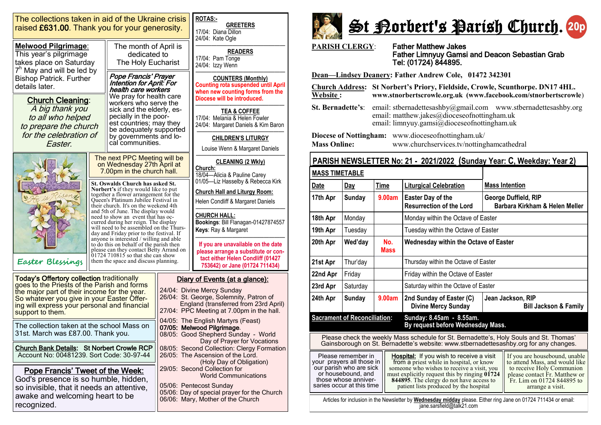| The collections taken in aid of the Ukraine crisis<br>raised £631.00. Thank you for your generosity.                                                                                                                                                               | <b>ROTAS:-</b><br><b>GREETERS</b><br>17/04: Diana Dillon<br>24/04: Kate Ogle                                                                                                                                                                                                                                                                                                                                                                                   |                                                                                                                                                                                 |                                                                                                                                                                                                                                                                                                                                         |                                                                                                                                                  |  |
|--------------------------------------------------------------------------------------------------------------------------------------------------------------------------------------------------------------------------------------------------------------------|----------------------------------------------------------------------------------------------------------------------------------------------------------------------------------------------------------------------------------------------------------------------------------------------------------------------------------------------------------------------------------------------------------------------------------------------------------------|---------------------------------------------------------------------------------------------------------------------------------------------------------------------------------|-----------------------------------------------------------------------------------------------------------------------------------------------------------------------------------------------------------------------------------------------------------------------------------------------------------------------------------------|--------------------------------------------------------------------------------------------------------------------------------------------------|--|
| <b>Melwood Pilgrimage:</b><br>This year's pilgrimage<br>takes place on Saturday                                                                                                                                                                                    |                                                                                                                                                                                                                                                                                                                                                                                                                                                                | The month of April is<br>dedicated to<br>The Holy Eucharist                                                                                                                     |                                                                                                                                                                                                                                                                                                                                         | <b>READERS</b><br>17/04: Pam Tonge<br>24/04: Izzy Wenn                                                                                           |  |
| 7 <sup>h</sup> May and will be led by<br><b>Bishop Patrick. Further</b><br>details later.                                                                                                                                                                          |                                                                                                                                                                                                                                                                                                                                                                                                                                                                | Pope Francis' Prayer<br><b>Intention for April: For</b><br>health care workers<br>We pray for health care                                                                       |                                                                                                                                                                                                                                                                                                                                         | <b>COUNTERS (Monthly)</b><br><b>Counting rota suspended until April</b><br>when new counting forms from the<br>Diocese will be introduced.       |  |
| <b>Church Cleaning:</b><br>A big thank you<br>to all who helped<br>to prepare the church<br>for the celebration of<br>Easter.                                                                                                                                      |                                                                                                                                                                                                                                                                                                                                                                                                                                                                | workers who serve the<br>sick and the elderly, es-<br>pecially in the poor-<br>est countries; may they<br>be adequately supported<br>by governments and lo-<br>cal communities. |                                                                                                                                                                                                                                                                                                                                         | TEA & COFFEE<br>17/04: Melania & Helen Fowler<br>24/04: Margaret Daniels & Kim Baron                                                             |  |
|                                                                                                                                                                                                                                                                    |                                                                                                                                                                                                                                                                                                                                                                                                                                                                |                                                                                                                                                                                 |                                                                                                                                                                                                                                                                                                                                         | <b>CHILDREN'S LITURGY</b><br>Louise Wenn & Margaret Daniels                                                                                      |  |
|                                                                                                                                                                                                                                                                    | The next PPC Meeting will be<br>on Wednesday 27th April at<br>7.00pm in the church hall.                                                                                                                                                                                                                                                                                                                                                                       |                                                                                                                                                                                 |                                                                                                                                                                                                                                                                                                                                         | <b>CLEANING (2 Wkly)</b><br>Church:<br>18/04-Alicia & Pauline Carey                                                                              |  |
|                                                                                                                                                                                                                                                                    | St. Oswalds Church has asked St.<br><b>Norbert's</b> if they would like to put<br>together a flower arrangement for the<br>Queen's Platinum Jubilee Festival in<br>their church. It's on the weekend 4th<br>and 5th of June. The display would<br>need to show an event that has oc-<br>curred during her reign. The display<br>will need to be assembled on the Thurs-<br>day and Friday prior to the festival. If<br>anyone is interested / willing and able |                                                                                                                                                                                 |                                                                                                                                                                                                                                                                                                                                         | 01/05-Liz Hasselby & Rebecca Kirk<br><b>Church Hall and Liturgy Room:</b>                                                                        |  |
|                                                                                                                                                                                                                                                                    |                                                                                                                                                                                                                                                                                                                                                                                                                                                                |                                                                                                                                                                                 |                                                                                                                                                                                                                                                                                                                                         | Helen Condliff & Margaret Daniels<br><b>CHURCH HALL:</b>                                                                                         |  |
|                                                                                                                                                                                                                                                                    |                                                                                                                                                                                                                                                                                                                                                                                                                                                                |                                                                                                                                                                                 |                                                                                                                                                                                                                                                                                                                                         | Bookings: Bill Flanagan-01427874557<br>Keys: Ray & Margaret                                                                                      |  |
| Easter Blessings                                                                                                                                                                                                                                                   |                                                                                                                                                                                                                                                                                                                                                                                                                                                                | to do this on behalf of the parish then<br>please can they contact Betty Arrand on<br>$01724710815$ so that she can show<br>them the space and discuss planning.                |                                                                                                                                                                                                                                                                                                                                         | If you are unavailable on the date<br>please arrange a substitute or con-<br>tact either Helen Condliff (01427<br>753642) or Jane (01724 711434) |  |
|                                                                                                                                                                                                                                                                    |                                                                                                                                                                                                                                                                                                                                                                                                                                                                |                                                                                                                                                                                 |                                                                                                                                                                                                                                                                                                                                         |                                                                                                                                                  |  |
| <b>Today's Offertory collection traditionally</b><br>goes to the Priests of the Parish and forms<br>the major part of their income for the year.<br>So whatever you give in your Easter Offer-<br>ing will express your personal and financial<br>support to them. |                                                                                                                                                                                                                                                                                                                                                                                                                                                                |                                                                                                                                                                                 | Diary of Events (at a glance):<br>24/04: Divine Mercy Sunday<br>26/04: St. George, Solemnity, Patron of<br>England (transferred from 23rd April)<br>27/04: PPC Meeting at 7.00pm in the hall.<br>04/05: The English Martyrs (Feast)<br>07/05: Melwood Pilgrimage.<br>08/05: Good Shepherd Sunday - World<br>Day of Prayer for Vocations |                                                                                                                                                  |  |
| The collection taken at the school Mass on<br>31st. March was £87.00. Thank you.                                                                                                                                                                                   |                                                                                                                                                                                                                                                                                                                                                                                                                                                                |                                                                                                                                                                                 |                                                                                                                                                                                                                                                                                                                                         |                                                                                                                                                  |  |
| <b>Church Bank Details: St Norbert Crowle RCP</b><br>Account No: 00481239. Sort Code: 30-97-44                                                                                                                                                                     |                                                                                                                                                                                                                                                                                                                                                                                                                                                                |                                                                                                                                                                                 | 08/05: Second Collection: Clergy Formation<br>26/05: The Ascension of the Lord.<br>(Holy Day of Obligation)                                                                                                                                                                                                                             |                                                                                                                                                  |  |
| <b>Pope Francis' Tweet of the Week:</b><br>God's presence is so humble, hidden,                                                                                                                                                                                    |                                                                                                                                                                                                                                                                                                                                                                                                                                                                |                                                                                                                                                                                 | 29/05: Second Collection for<br><b>World Communications</b>                                                                                                                                                                                                                                                                             |                                                                                                                                                  |  |
| so invisible, that it needs an attentive,<br>awake and welcoming heart to be<br>recognized.                                                                                                                                                                        |                                                                                                                                                                                                                                                                                                                                                                                                                                                                |                                                                                                                                                                                 | 05/06: Pentecost Sunday<br>05/06: Day of special prayer for the Church<br>06/06: Mary, Mother of the Church                                                                                                                                                                                                                             |                                                                                                                                                  |  |
|                                                                                                                                                                                                                                                                    |                                                                                                                                                                                                                                                                                                                                                                                                                                                                |                                                                                                                                                                                 |                                                                                                                                                                                                                                                                                                                                         |                                                                                                                                                  |  |



**PARISH CLERGY**: Father Matthew Jakes

# Father Limnyuy Gamsi and Deacon Sebastian Grab Tel: (01724) 844895.

**Dean—Lindsey Deanery: Father Andrew Cole, 01472 342301** 

**Church Address: St Norbert's Priory, Fieldside, Crowle, Scunthorpe. DN17 4HL. Website : www.stnorbertscrowle.org.uk (www.facebook.com/stnorbertscrowle**) **St. Bernadette's**: email: stbernadettesashby@gmail.com [www.stbernadettesashby.org](http://www.stbernadettesashby.org/)  email: matthew.jakes@dioceseofnottingham.uk email: limnyuy.gamsi@dioceseofnottingham.uk **Diocese of Nottingham:** www.dioceseofnottingham.uk/ **Mass Online:** www.churchservices.tv/nottinghamcathedral

# **PARISH NEWSLETTER No: 21 - 2021/2022 (Sunday Year: C, Weekday: Year 2)**

| <b>MASS TIMETABLE</b>                                                                                                                                                        |                                                                                                                                                       |                    |                                                                                                                                                                                                                                                                                  |                                                                                                                                                                                 |  |  |
|------------------------------------------------------------------------------------------------------------------------------------------------------------------------------|-------------------------------------------------------------------------------------------------------------------------------------------------------|--------------------|----------------------------------------------------------------------------------------------------------------------------------------------------------------------------------------------------------------------------------------------------------------------------------|---------------------------------------------------------------------------------------------------------------------------------------------------------------------------------|--|--|
| <b>Date</b>                                                                                                                                                                  | Day                                                                                                                                                   | <b>Time</b>        | <b>Liturgical Celebration</b>                                                                                                                                                                                                                                                    | <b>Mass Intention</b>                                                                                                                                                           |  |  |
| 17th Apr                                                                                                                                                                     | <b>Sunday</b>                                                                                                                                         | 9.00am             | <b>Easter Day of the</b><br><b>Resurrection of the Lord</b>                                                                                                                                                                                                                      | George Duffield, RIP<br>Barbara Kirkham & Helen Meller                                                                                                                          |  |  |
| 18th Apr                                                                                                                                                                     | Monday                                                                                                                                                |                    | Monday within the Octave of Easter                                                                                                                                                                                                                                               |                                                                                                                                                                                 |  |  |
| 19th Apr                                                                                                                                                                     | Tuesday                                                                                                                                               |                    | Tuesday within the Octave of Easter                                                                                                                                                                                                                                              |                                                                                                                                                                                 |  |  |
| 20th Apr                                                                                                                                                                     | Wed'day                                                                                                                                               | No.<br><b>Mass</b> | <b>Wednesday within the Octave of Easter</b>                                                                                                                                                                                                                                     |                                                                                                                                                                                 |  |  |
| 21st Apr                                                                                                                                                                     | Thur'day                                                                                                                                              |                    | Thursday within the Octave of Easter                                                                                                                                                                                                                                             |                                                                                                                                                                                 |  |  |
| 22nd Apr                                                                                                                                                                     | Friday                                                                                                                                                |                    | Friday within the Octave of Easter                                                                                                                                                                                                                                               |                                                                                                                                                                                 |  |  |
| 23rd Apr                                                                                                                                                                     | Saturday                                                                                                                                              |                    | Saturday within the Octave of Easter                                                                                                                                                                                                                                             |                                                                                                                                                                                 |  |  |
| 24th Apr                                                                                                                                                                     | <b>Sunday</b>                                                                                                                                         | 9.00am             | 2nd Sunday of Easter (C)<br><b>Divine Mercy Sunday</b>                                                                                                                                                                                                                           | Jean Jackson, RIP<br><b>Bill Jackson &amp; Family</b>                                                                                                                           |  |  |
| <b>Sacrament of Reconciliation:</b><br>Sunday: 8.45am - 8.55am.<br>By request before Wednesday Mass.                                                                         |                                                                                                                                                       |                    |                                                                                                                                                                                                                                                                                  |                                                                                                                                                                                 |  |  |
| Please check the weekly Mass schedule for St. Bernadette's, Holy Souls and St. Thomas' Gainsborough on St. Bernadette's website: www.stbernadettesashby.org for any changes. |                                                                                                                                                       |                    |                                                                                                                                                                                                                                                                                  |                                                                                                                                                                                 |  |  |
|                                                                                                                                                                              | Please remember in<br>your prayers all those in<br>our parish who are sick<br>or housebound, and<br>those whose anniver-<br>saries occur at this time |                    | <b>Hospital:</b> If you wish to receive a visit<br>from a priest while in hospital, or know<br>someone who wishes to receive a visit, you<br>must explicitly request this by ringing 01724<br>844895. The clergy do not have access to<br>patient lists produced by the hospital | If you are housebound, unable<br>to attend Mass, and would like<br>to receive Holy Communion<br>please contact Fr. Matthew or<br>Fr. Lim on 01724 844895 to<br>arrange a visit. |  |  |
| Articles for inclusion in the Newsletter by Wednesday midday please. Either ring Jane on 01724 711434 or email:                                                              |                                                                                                                                                       |                    |                                                                                                                                                                                                                                                                                  |                                                                                                                                                                                 |  |  |

jane.sarsfield@talk21.com